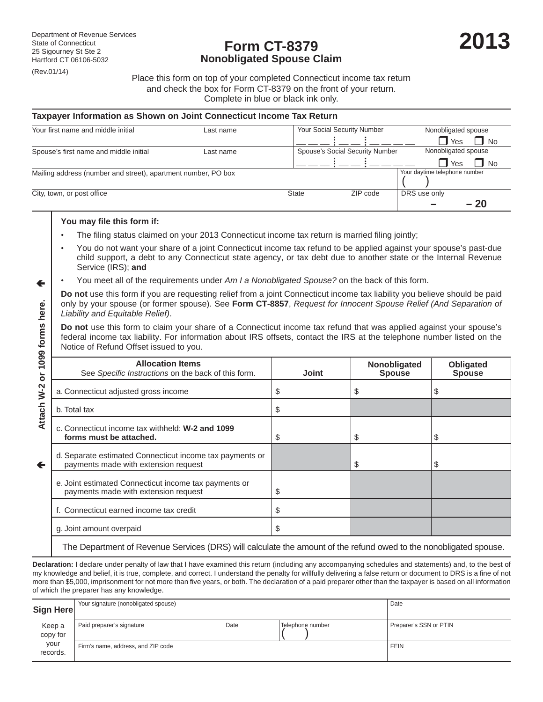## **Form CT-8379 Nonobligated Spouse Claim**

Place this form on top of your completed Connecticut income tax return and check the box for Form CT-8379 on the front of your return. Complete in blue or black ink only.

#### **Taxpayer Information as Shown on Joint Connecticut Income Tax Return**

| Your first name and middle initial                            | Last name |              | Your Social Security Number     |  | Nonobligated spouse           |      |
|---------------------------------------------------------------|-----------|--------------|---------------------------------|--|-------------------------------|------|
|                                                               |           |              |                                 |  | Yes                           | No   |
| Spouse's first name and middle initial                        | Last name |              | Spouse's Social Security Number |  | Nonobligated spouse           |      |
|                                                               |           |              |                                 |  | Yes                           | No   |
| Mailing address (number and street), apartment number, PO box |           |              |                                 |  | Your daytime telephone number |      |
| City, town, or post office                                    |           | <b>State</b> | ZIP code                        |  | DRS use only                  |      |
|                                                               |           |              |                                 |  |                               | - 20 |

#### **You may file this form if:**

 $\leftarrow$ 

- The filing status claimed on your 2013 Connecticut income tax return is married filing jointly;
- You do not want your share of a joint Connecticut income tax refund to be applied against your spouse's past-due child support, a debt to any Connecticut state agency, or tax debt due to another state or the Internal Revenue Service (IRS); **and**
- You meet all of the requirements under *Am I a Nonobligated Spouse?* on the back of this form.

**Do not** use this form if you are requesting relief from a joint Connecticut income tax liability you believe should be paid only by your spouse (or former spouse). See **Form CT-8857**, *Request for Innocent Spouse Relief (And Separation of Liability and Equitable Relief)*.

|                  | only by your spouse (or former spouse). See Form CT-8857, Request for Innocent Spouse Relief (And Separation of<br>Liability and Equitable Relief).                                                                                                                                                                                                                                                                                                                                                                                     |              |                               |                            |  |  |
|------------------|-----------------------------------------------------------------------------------------------------------------------------------------------------------------------------------------------------------------------------------------------------------------------------------------------------------------------------------------------------------------------------------------------------------------------------------------------------------------------------------------------------------------------------------------|--------------|-------------------------------|----------------------------|--|--|
| 1099 forms here. | Do not use this form to claim your share of a Connecticut income tax refund that was applied against your spouse's<br>federal income tax liability. For information about IRS offsets, contact the IRS at the telephone number listed on the<br>Notice of Refund Offset issued to you.                                                                                                                                                                                                                                                  |              |                               |                            |  |  |
| ŏ                | <b>Allocation Items</b><br>See Specific Instructions on the back of this form.                                                                                                                                                                                                                                                                                                                                                                                                                                                          | <b>Joint</b> | Nonobligated<br><b>Spouse</b> | Obligated<br><b>Spouse</b> |  |  |
|                  | a. Connecticut adjusted gross income                                                                                                                                                                                                                                                                                                                                                                                                                                                                                                    | \$           | \$                            | \$                         |  |  |
| Attach W-2       | b. Total tax                                                                                                                                                                                                                                                                                                                                                                                                                                                                                                                            | \$           |                               |                            |  |  |
|                  | c. Connecticut income tax withheld: W-2 and 1099<br>forms must be attached.                                                                                                                                                                                                                                                                                                                                                                                                                                                             | \$           | \$                            | \$                         |  |  |
| $\leftarrow$     | d. Separate estimated Connecticut income tax payments or<br>payments made with extension request                                                                                                                                                                                                                                                                                                                                                                                                                                        |              | \$                            | \$                         |  |  |
|                  | e. Joint estimated Connecticut income tax payments or<br>payments made with extension request                                                                                                                                                                                                                                                                                                                                                                                                                                           | \$           |                               |                            |  |  |
|                  | f. Connecticut earned income tax credit                                                                                                                                                                                                                                                                                                                                                                                                                                                                                                 | \$           |                               |                            |  |  |
|                  | g. Joint amount overpaid                                                                                                                                                                                                                                                                                                                                                                                                                                                                                                                | \$           |                               |                            |  |  |
|                  | The Department of Revenue Services (DRS) will calculate the amount of the refund owed to the nonobligated spouse.                                                                                                                                                                                                                                                                                                                                                                                                                       |              |                               |                            |  |  |
|                  | Declaration: I declare under penalty of law that I have examined this return (including any accompanying schedules and statements) and, to the best of<br>my knowledge and belief, it is true, complete, and correct. I understand the penalty for willfully delivering a false return or document to DRS is a fine of not<br>more than \$5,000, imprisonment for not more than five years, or both. The declaration of a paid preparer other than the taxpayer is based on all information<br>of which the preparer has any knowledge. |              |                               |                            |  |  |

| Sign Here          | Your signature (nonobligated spouse) |      |                  | Date                   |
|--------------------|--------------------------------------|------|------------------|------------------------|
| Keep a<br>copy for | Paid preparer's signature            | Date | Telephone number | Preparer's SSN or PTIN |
| your<br>records.   | Firm's name, address, and ZIP code   |      |                  | <b>FEIN</b>            |